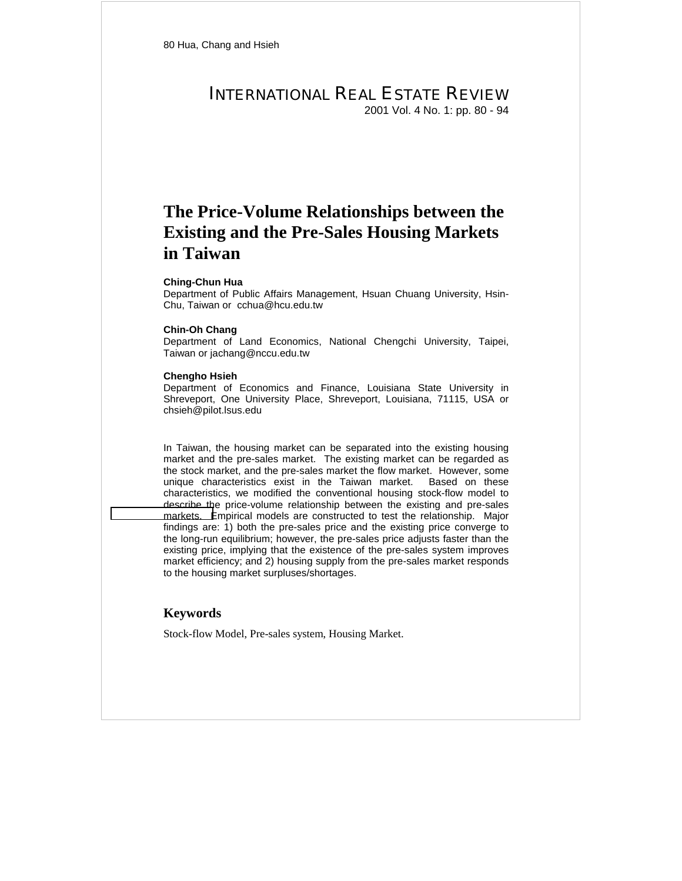# INTERNATIONAL REAL ESTATE REVIEW 2001 Vol. 4 No. 1: pp. 80 - 94

# **The Price-Volume Relationships between the Existing and the Pre-Sales Housing Markets in Taiwan**

#### **Ching-Chun Hua**

Department of Public Affairs Management, Hsuan Chuang University, Hsin-Chu, Taiwan or cchua@hcu.edu.tw

#### **Chin-Oh Chang**

Department of Land Economics, National Chengchi University, Taipei, Taiwan or jachang@nccu.edu.tw

#### **Chengho Hsieh**

Department of Economics and Finance, Louisiana State University in Shreveport, One University Place, Shreveport, Louisiana, 71115, USA or chsieh@pilot.lsus.edu

In Taiwan, the housing market can be separated into the existing housing market and the pre-sales market. The existing market can be regarded as the stock market, and the pre-sales market the flow market. However, some unique characteristics exist in the Taiwan market. Based on these characteristics, we modified the conventional housing stock-flow model to describe the price-volume relationship between the existing and pre-sales [markets. E](mailto:jachang@nccu.edu.tw)mpirical models are constructed to test the relationship. Major findings are: 1) both the pre-sales price and the existing price converge to the long-run equilibrium; however, the pre-sales price adjusts faster than the existing price, implying that the existence of the pre-sales system improves market efficiency; and 2) housing supply from the pre-sales market responds to the housing market surpluses/shortages.

## **Keywords**

Stock-flow Model, Pre-sales system, Housing Market.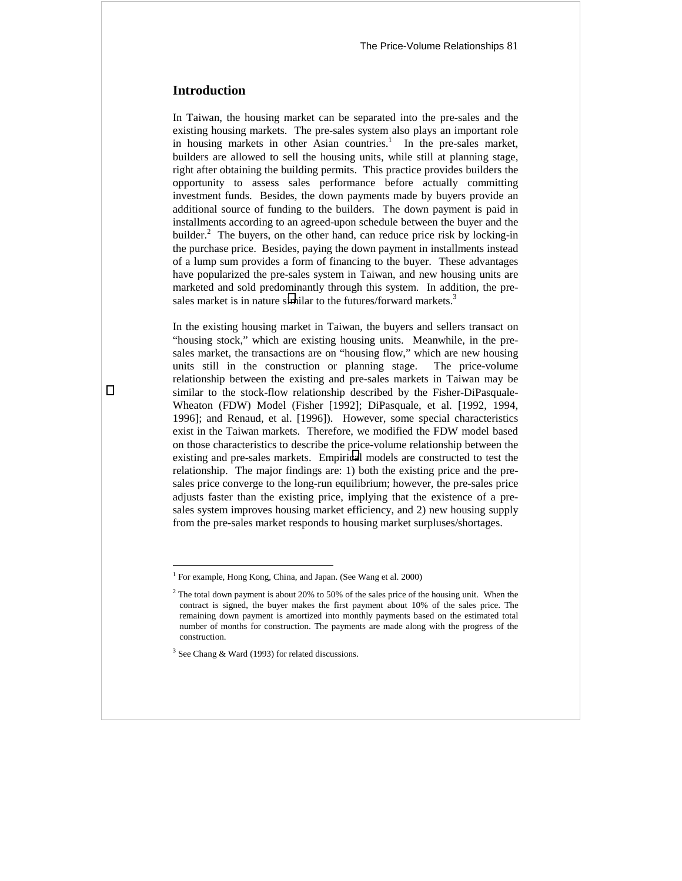# **Introduction**

In Taiwan, the housing market can be separated into the pre-sales and the existing housing markets. The pre-sales system also plays an important role in housing markets in other Asian countries.<sup>1</sup> In the pre-sales market, builders are allowed to sell the housing units, while still at planning stage, right after obtaining the building permits. This practice provides builders the opportunity to assess sales performance before actually committing investment funds. Besides, the down payments made by buyers provide an additional source of funding to the builders. The down payment is paid in installments according to an agreed-upon schedule between the buyer and the builder.<sup>2</sup> The buyers, on the other hand, can reduce price risk by locking-in the purchase price. Besides, paying the down payment in installments instead of a lump sum provides a form of financing to the buyer. These advantages have popularized the pre-sales system in Taiwan, and new housing units are marketed and sold predominantly through this system. In addition, the presales market is in nature similar to the futures/forward markets. $3$ 

In the existing housing market in Taiwan, the buyers and sellers transact on "housing stock," which are existing housing units. Meanwhile, in the presales market, the transactions are on "housing flow," which are new housing units still in the construction or planning stage. The price-volume relationship between the existing and pre-sales markets in Taiwan may be similar to the stock-flow relationship described by the Fisher-DiPasquale-Wheaton (FDW) Model (Fisher [1992]; DiPasquale, et al. [1992, 1994, 1996]; and Renaud, et al. [1996]). However, some special characteristics exist in the Taiwan markets. Therefore, we modified the FDW model based on those characteristics to describe the price-volume relationship between the existing and pre-sales markets. Empirical models are constructed to test the relationship. The major findings are: 1) both the existing price and the presales price converge to the long-run equilibrium; however, the pre-sales price adjusts faster than the existing price, implying that the existence of a presales system improves housing market efficiency, and 2) new housing supply from the pre-sales market responds to housing market surpluses/shortages.

 $\overline{a}$ 

<sup>&</sup>lt;sup>1</sup> For example, Hong Kong, China, and Japan. (See Wang et al. 2000)

 $2$  The total down payment is about 20% to 50% of the sales price of the housing unit. When the contract is signed, the buyer makes the first payment about 10% of the sales price. The remaining down payment is amortized into monthly payments based on the estimated total number of months for construction. The payments are made along with the progress of the construction.

 $3$  See Chang & Ward (1993) for related discussions.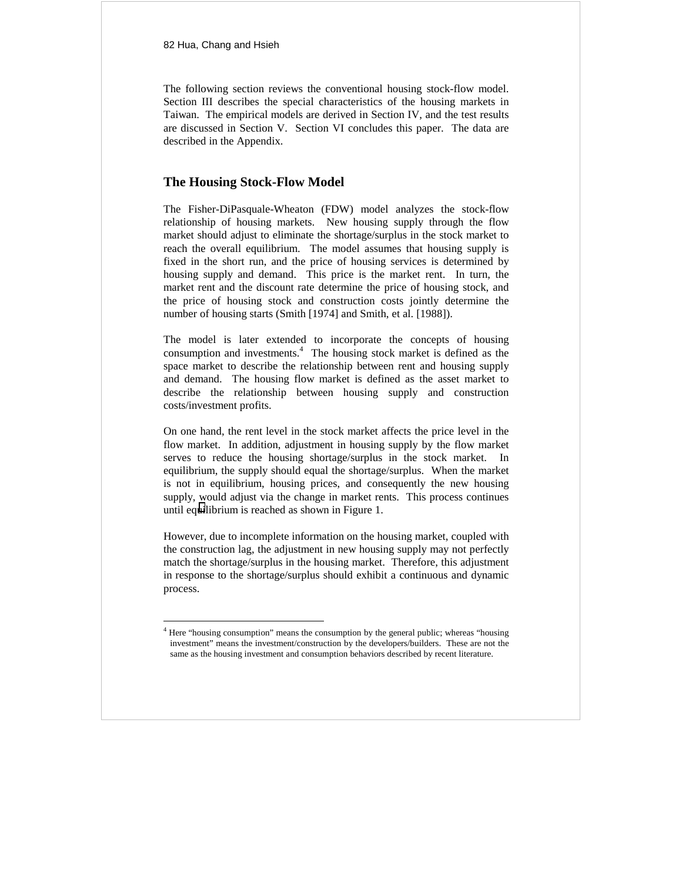82 Hua, Chang and Hsieh

 $\overline{a}$ 

The following section reviews the conventional housing stock-flow model. Section III describes the special characteristics of the housing markets in Taiwan. The empirical models are derived in Section IV, and the test results are discussed in Section V. Section VI concludes this paper. The data are described in the Appendix.

# **The Housing Stock-Flow Model**

The Fisher-DiPasquale-Wheaton (FDW) model analyzes the stock-flow relationship of housing markets. New housing supply through the flow market should adjust to eliminate the shortage/surplus in the stock market to reach the overall equilibrium. The model assumes that housing supply is fixed in the short run, and the price of housing services is determined by housing supply and demand. This price is the market rent. In turn, the market rent and the discount rate determine the price of housing stock, and the price of housing stock and construction costs jointly determine the number of housing starts (Smith [1974] and Smith, et al. [1988]).

The model is later extended to incorporate the concepts of housing consumption and investments.<sup>4</sup> The housing stock market is defined as the space market to describe the relationship between rent and housing supply and demand. The housing flow market is defined as the asset market to describe the relationship between housing supply and construction costs/investment profits.

On one hand, the rent level in the stock market affects the price level in the flow market. In addition, adjustment in housing supply by the flow market serves to reduce the housing shortage/surplus in the stock market. In equilibrium, the supply should equal the shortage/surplus. When the market is not in equilibrium, housing prices, and consequently the new housing supply, would adjust via the change in market rents. This process continues until equilibrium is reached as shown in Figure 1.

However, due to incomplete information on the housing market, coupled with the construction lag, the adjustment in new housing supply may not perfectly match the shortage/surplus in the housing market. Therefore, this adjustment in response to the shortage/surplus should exhibit a continuous and dynamic process.

<sup>&</sup>lt;sup>4</sup> Here "housing consumption" means the consumption by the general public; whereas "housing investment" means the investment/construction by the developers/builders. These are not the same as the housing investment and consumption behaviors described by recent literature.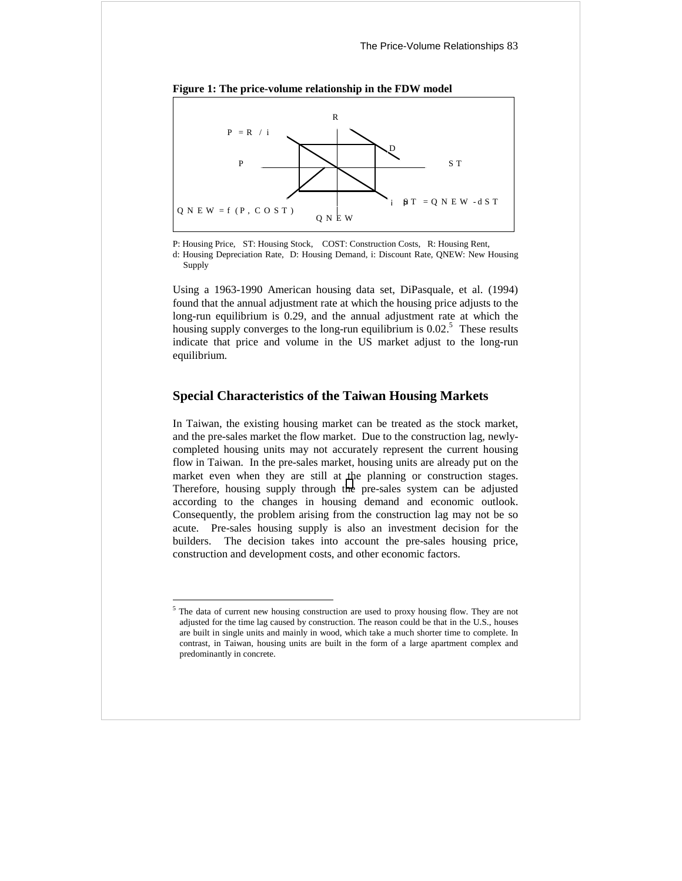



P: Housing Price, ST: Housing Stock, COST: Construction Costs, R: Housing Rent,

d: Housing Depreciation Rate, D: Housing Demand, i: Discount Rate, QNEW: New Housing Supply

Using a 1963-1990 American housing data set, DiPasquale, et al. (1994) found that the annual adjustment rate at which the housing price adjusts to the long-run equilibrium is 0.29, and the annual adjustment rate at which the housing supply converges to the long-run equilibrium is  $0.02$ <sup>5</sup>. These results indicate that price and volume in the US market adjust to the long-run equilibrium.

## **Special Characteristics of the Taiwan Housing Markets**

In Taiwan, the existing housing market can be treated as the stock market, and the pre-sales market the flow market. Due to the construction lag, newlycompleted housing units may not accurately represent the current housing flow in Taiwan. In the pre-sales market, housing units are already put on the market even when they are still at the planning or construction stages. Therefore, housing supply through the pre-sales system can be adjusted according to the changes in housing demand and economic outlook. Consequently, the problem arising from the construction lag may not be so acute. Pre-sales housing supply is also an investment decision for the builders. The decision takes into account the pre-sales housing price, construction and development costs, and other economic factors.

 $\overline{a}$ 

 $<sup>5</sup>$  The data of current new housing construction are used to proxy housing flow. They are not</sup> adjusted for the time lag caused by construction. The reason could be that in the U.S., houses are built in single units and mainly in wood, which take a much shorter time to complete. In contrast, in Taiwan, housing units are built in the form of a large apartment complex and predominantly in concrete.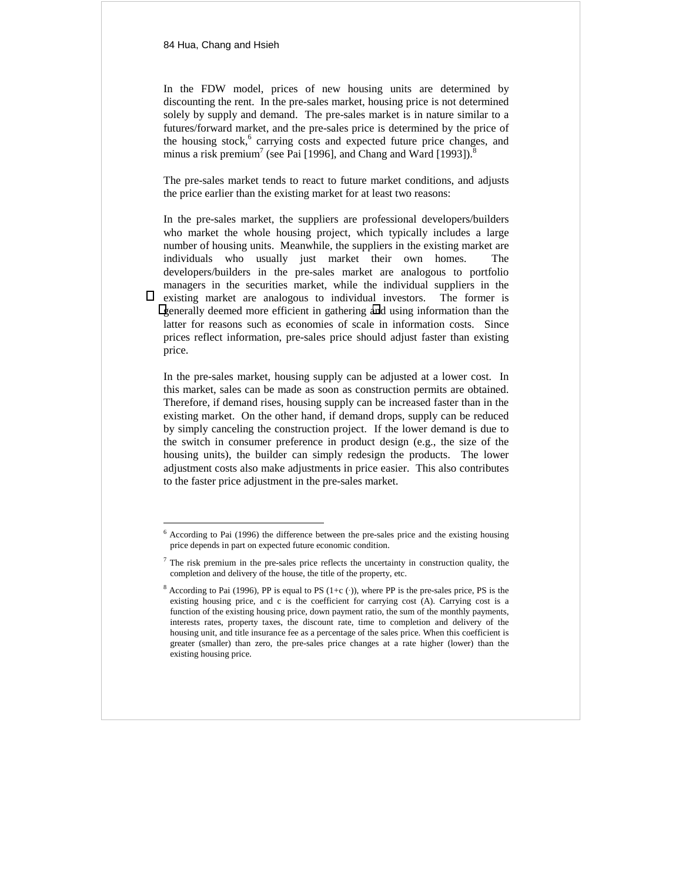$\overline{a}$ 

In the FDW model, prices of new housing units are determined by discounting the rent. In the pre-sales market, housing price is not determined solely by supply and demand. The pre-sales market is in nature similar to a futures/forward market, and the pre-sales price is determined by the price of the housing stock,<sup>6</sup> carrying costs and expected future price changes, and minus a risk premium<sup>7</sup> (see Pai [1996], and Chang and Ward [1993]).<sup>8</sup>

The pre-sales market tends to react to future market conditions, and adjusts the price earlier than the existing market for at least two reasons:

In the pre-sales market, the suppliers are professional developers/builders who market the whole housing project, which typically includes a large number of housing units. Meanwhile, the suppliers in the existing market are individuals who usually just market their own homes. The developers/builders in the pre-sales market are analogous to portfolio managers in the securities market, while the individual suppliers in the existing market are analogous to individual investors. The former is generally deemed more efficient in gathering and using information than the latter for reasons such as economies of scale in information costs. Since prices reflect information, pre-sales price should adjust faster than existing price.

In the pre-sales market, housing supply can be adjusted at a lower cost. In this market, sales can be made as soon as construction permits are obtained. Therefore, if demand rises, housing supply can be increased faster than in the existing market. On the other hand, if demand drops, supply can be reduced by simply canceling the construction project. If the lower demand is due to the switch in consumer preference in product design (e.g., the size of the housing units), the builder can simply redesign the products. The lower adjustment costs also make adjustments in price easier. This also contributes to the faster price adjustment in the pre-sales market.

 $6$  According to Pai (1996) the difference between the pre-sales price and the existing housing price depends in part on expected future economic condition.

 $<sup>7</sup>$  The risk premium in the pre-sales price reflects the uncertainty in construction quality, the</sup> completion and delivery of the house, the title of the property, etc.

<sup>&</sup>lt;sup>8</sup> According to Pai (1996), PP is equal to PS (1+c (·)), where PP is the pre-sales price, PS is the existing housing price, and c is the coefficient for carrying cost (A). Carrying cost is a function of the existing housing price, down payment ratio, the sum of the monthly payments, interests rates, property taxes, the discount rate, time to completion and delivery of the housing unit, and title insurance fee as a percentage of the sales price. When this coefficient is greater (smaller) than zero, the pre-sales price changes at a rate higher (lower) than the existing housing price.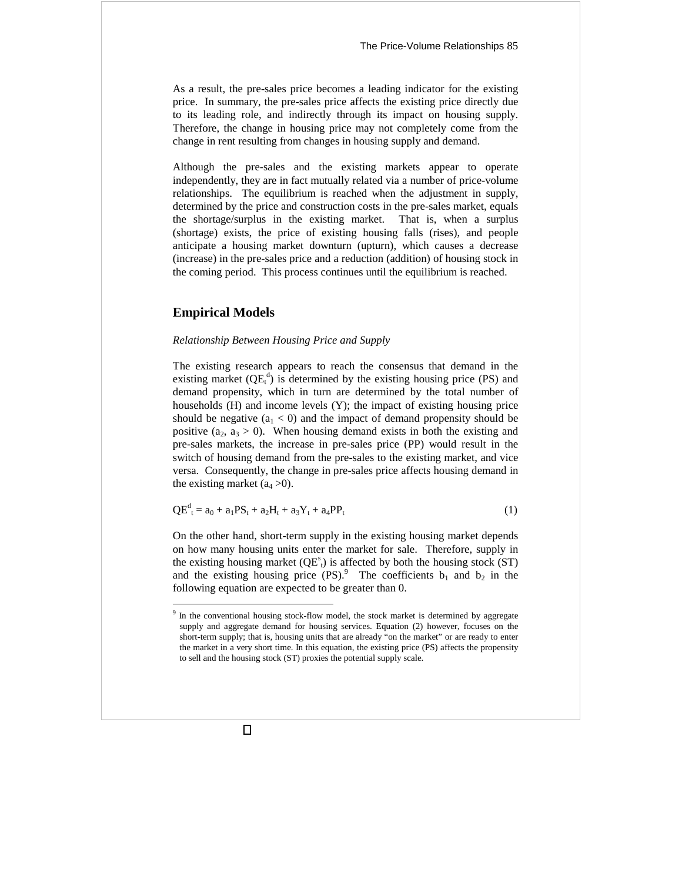As a result, the pre-sales price becomes a leading indicator for the existing price. In summary, the pre-sales price affects the existing price directly due to its leading role, and indirectly through its impact on housing supply. Therefore, the change in housing price may not completely come from the change in rent resulting from changes in housing supply and demand.

Although the pre-sales and the existing markets appear to operate independently, they are in fact mutually related via a number of price-volume relationships. The equilibrium is reached when the adjustment in supply, determined by the price and construction costs in the pre-sales market, equals the shortage/surplus in the existing market. That is, when a surplus (shortage) exists, the price of existing housing falls (rises), and people anticipate a housing market downturn (upturn), which causes a decrease (increase) in the pre-sales price and a reduction (addition) of housing stock in the coming period. This process continues until the equilibrium is reached.

# **Empirical Models**

 $\overline{a}$ 

#### *Relationship Between Housing Price and Supply*

The existing research appears to reach the consensus that demand in the existing market  $(QE_t^d)$  is determined by the existing housing price (PS) and demand propensity, which in turn are determined by the total number of households (H) and income levels (Y); the impact of existing housing price should be negative  $(a_1 < 0)$  and the impact of demand propensity should be positive (a<sub>2</sub>, a<sub>3</sub> > 0). When housing demand exists in both the existing and pre-sales markets, the increase in pre-sales price (PP) would result in the switch of housing demand from the pre-sales to the existing market, and vice versa. Consequently, the change in pre-sales price affects housing demand in the existing market  $(a_4 > 0)$ .

$$
QE_{t}^{d} = a_{0} + a_{1}PS_{t} + a_{2}H_{t} + a_{3}Y_{t} + a_{4}PP_{t}
$$
\n(1)

On the other hand, short-term supply in the existing housing market depends on how many housing units enter the market for sale. Therefore, supply in the existing housing market ( $QE^s$ ) is affected by both the housing stock (ST) and the existing housing price  $(PS)$ .<sup>9</sup> The coefficients  $b_1$  and  $b_2$  in the following equation are expected to be greater than 0.

<sup>&</sup>lt;sup>9</sup> In the conventional housing stock-flow model, the stock market is determined by aggregate supply and aggregate demand for housing services. Equation (2) however, focuses on the short-term supply; that is, housing units that are already "on the market" or are ready to enter the market in a very short time. In this equation, the existing price (PS) affects the propensity to sell and the housing stock (ST) proxies the potential supply scale.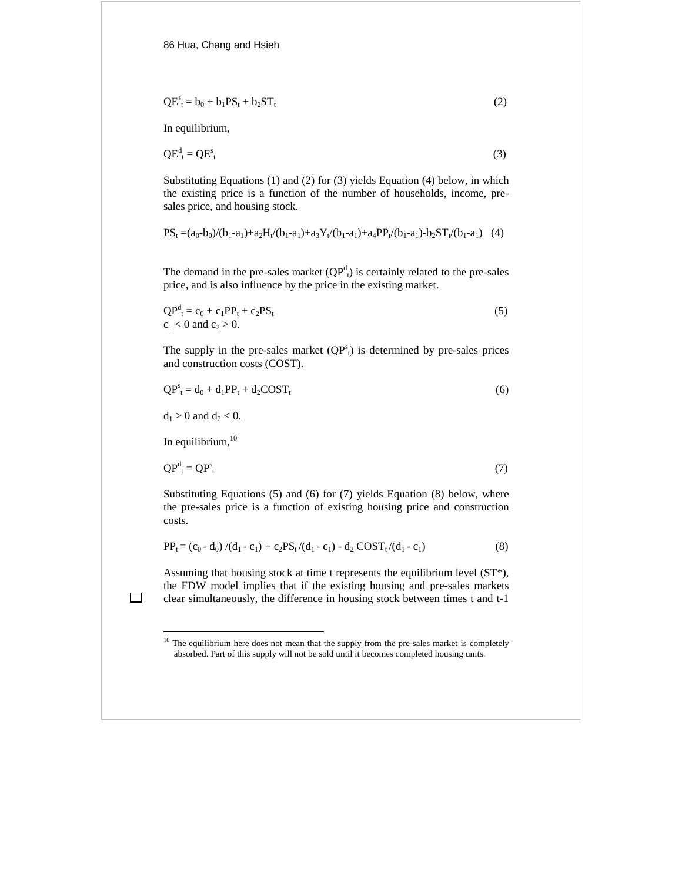$$
QE_t^s = b_0 + b_1 PS_t + b_2 ST_t \tag{2}
$$

In equilibrium,

$$
QE_{t}^{d} = QE_{t}^{s}
$$
 (3)

Substituting Equations (1) and (2) for (3) yields Equation (4) below, in which the existing price is a function of the number of households, income, presales price, and housing stock.

$$
PS_t = (a_0 - b_0)/(b_1 - a_1) + a_2 H_t/(b_1 - a_1) + a_3 Y_t/(b_1 - a_1) + a_4 PP_t/(b_1 - a_1) - b_2 ST_t/(b_1 - a_1)
$$
 (4)

The demand in the pre-sales market  $(QP^d)$  is certainly related to the pre-sales price, and is also influence by the price in the existing market.

$$
QPdt = c0 + c1PPt + c2PSt
$$
  
c<sub>1</sub> < 0 and c<sub>2</sub> > 0. (5)

The supply in the pre-sales market  $(QP<sup>s</sup><sub>t</sub>)$  is determined by pre-sales prices and construction costs (COST).

$$
QP_t^s = d_0 + d_1 PP_t + d_2 COST_t \tag{6}
$$

 $d_1 > 0$  and  $d_2 < 0$ .

In equilibrium, 10

 $\overline{a}$ 

$$
QP_{t}^{d} = QP_{t}^{s}
$$
 (7)

Substituting Equations (5) and (6) for (7) yields Equation (8) below, where the pre-sales price is a function of existing housing price and construction costs.

$$
PP_{t} = (c_{0} - d_{0})/(d_{1} - c_{1}) + c_{2}PS_{t}/(d_{1} - c_{1}) - d_{2} COST_{t}/(d_{1} - c_{1})
$$
\n(8)

Assuming that housing stock at time t represents the equilibrium level (ST\*), the FDW model implies that if the existing housing and pre-sales markets clear simultaneously, the difference in housing stock between times t and t-1

 $10$  The equilibrium here does not mean that the supply from the pre-sales market is completely absorbed. Part of this supply will not be sold until it becomes completed housing units.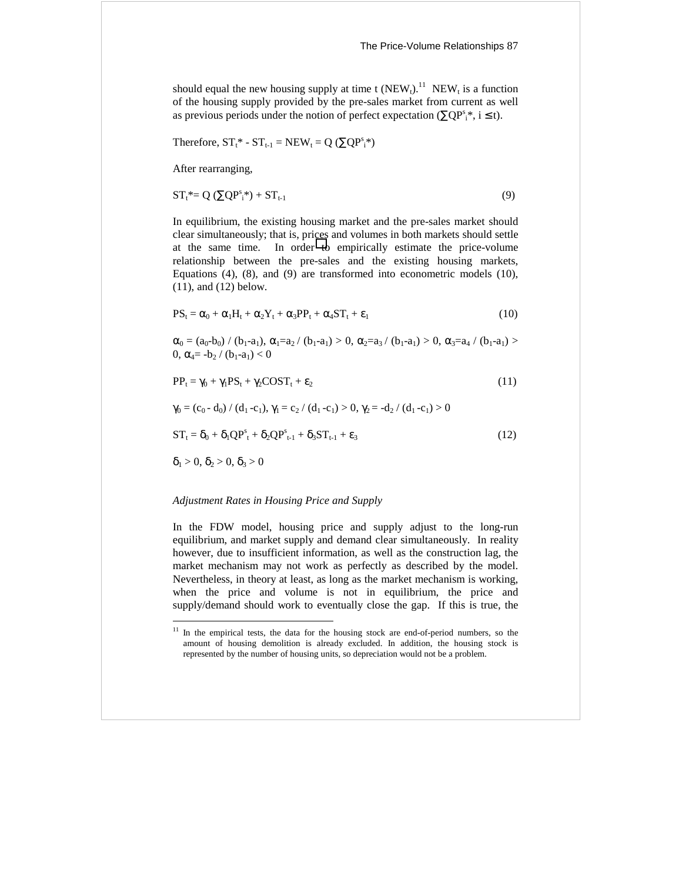should equal the new housing supply at time t  $(NEW_t)^{11}$  NEW<sub>t</sub> is a function of the housing supply provided by the pre-sales market from current as well as previous periods under the notion of perfect expectation ( $\sum QP_s^s$ ; i ≤ t).

Therefore, 
$$
ST_t^* - ST_{t-1} = NEW_t = Q \ (\Sigma QP_s^**)
$$

After rearranging,

$$
ST_t^* = Q \left( \sum QP_i^s \right) + ST_{t-1} \tag{9}
$$

In equilibrium, the existing housing market and the pre-sales market should clear simultaneously; that is, prices and volumes in both markets should settle at the same time. In order to empirically estimate the price-volume relationship between the pre-sales and the existing housing markets, Equations (4), (8), and (9) are transformed into econometric models (10), (11), and (12) below.

$$
PS_t = \alpha_0 + \alpha_1 H_t + \alpha_2 Y_t + \alpha_3 PP_t + \alpha_4 ST_t + \epsilon_1
$$
\n(10)

 $\alpha_0 = (a_0 - b_0) / (b_1 - a_1), \alpha_1 = a_2 / (b_1 - a_1) > 0, \alpha_2 = a_3 / (b_1 - a_1) > 0, \alpha_3 = a_4 / (b_1 - a_1) >$ 0,  $\alpha_4 = -b_2 / (b_1 - a_1) < 0$ 

$$
PP_t = \gamma_0 + \gamma_1 PS_t + \gamma_2 COST_t + \varepsilon_2 \tag{11}
$$

$$
\gamma_0 = (c_0 - d_0) / (d_1 - c_1), \gamma_1 = c_2 / (d_1 - c_1) > 0, \gamma_2 = -d_2 / (d_1 - c_1) > 0
$$

$$
ST_t = \delta_0 + \delta_1 Q P_{t}^s + \delta_2 Q P_{t-1}^s + \delta_3 ST_{t-1} + \varepsilon_3
$$
\n
$$
(12)
$$

 $\delta_1 > 0$ ,  $\delta_2 > 0$ ,  $\delta_3 > 0$ 

 $\overline{a}$ 

## *Adjustment Rates in Housing Price and Supply*

In the FDW model, housing price and supply adjust to the long-run equilibrium, and market supply and demand clear simultaneously. In reality however, due to insufficient information, as well as the construction lag, the market mechanism may not work as perfectly as described by the model. Nevertheless, in theory at least, as long as the market mechanism is working, when the price and volume is not in equilibrium, the price and supply/demand should work to eventually close the gap. If this is true, the

 $11$  In the empirical tests, the data for the housing stock are end-of-period numbers, so the amount of housing demolition is already excluded. In addition, the housing stock is represented by the number of housing units, so depreciation would not be a problem.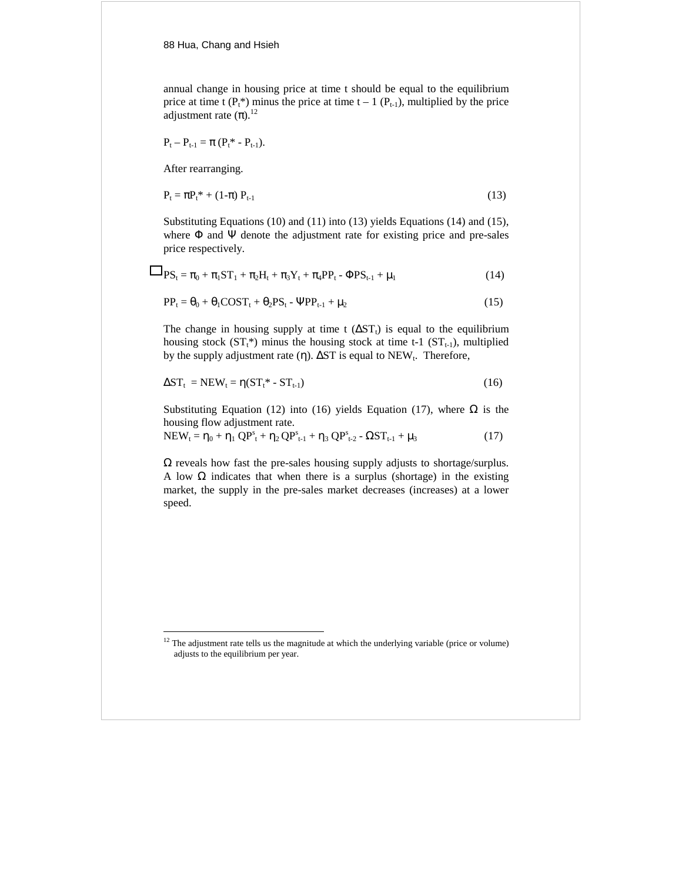annual change in housing price at time t should be equal to the equilibrium price at time t ( $P_t^*$ ) minus the price at time t – 1 ( $P_{t-1}$ ), multiplied by the price adjustment rate  $(\pi)$ .<sup>12</sup>

$$
P_t - P_{t-1} = \pi (P_t^* - P_{t-1}).
$$

After rearranging.

 $\overline{a}$ 

$$
\mathbf{P}_{t} = \pi \mathbf{P}_{t}^{*} + (1 - \pi) \mathbf{P}_{t-1} \tag{13}
$$

Substituting Equations (10) and (11) into (13) yields Equations (14) and (15), where  $\Phi$  and  $\Psi$  denote the adjustment rate for existing price and pre-sales price respectively.

$$
PS_{t} = \pi_{0} + \pi_{1}ST_{1} + \pi_{2}H_{t} + \pi_{3}Y_{t} + \pi_{4}PP_{t} - \Phi PS_{t-1} + \mu_{1}
$$
\n(14)

$$
PP_t = \theta_0 + \theta_1 \text{COST}_t + \theta_2 \text{PS}_t - \text{PPP}_{t-1} + \mu_2 \tag{15}
$$

The change in housing supply at time t  $(\Delta ST_t)$  is equal to the equilibrium housing stock ( $ST_t^*$ ) minus the housing stock at time t-1 ( $ST_{t-1}$ ), multiplied by the supply adjustment rate (η).  $\Delta ST$  is equal to NEW<sub>t</sub>. Therefore,

$$
\Delta ST_t = NEW_t = \eta(ST_t^* - ST_{t-1})
$$
\n(16)

Substituting Equation (12) into (16) yields Equation (17), where  $\Omega$  is the housing flow adjustment rate.

$$
NEW_{t} = \eta_{0} + \eta_{1} \ QP_{t}^{s} + \eta_{2} \ QP_{t-1}^{s} + \eta_{3} \ QP_{t-2}^{s} - \Omega ST_{t-1} + \mu_{3}
$$
 (17)

 $\Omega$  reveals how fast the pre-sales housing supply adjusts to shortage/surplus. A low  $\Omega$  indicates that when there is a surplus (shortage) in the existing market, the supply in the pre-sales market decreases (increases) at a lower speed.

 $12$  The adjustment rate tells us the magnitude at which the underlying variable (price or volume) adjusts to the equilibrium per year.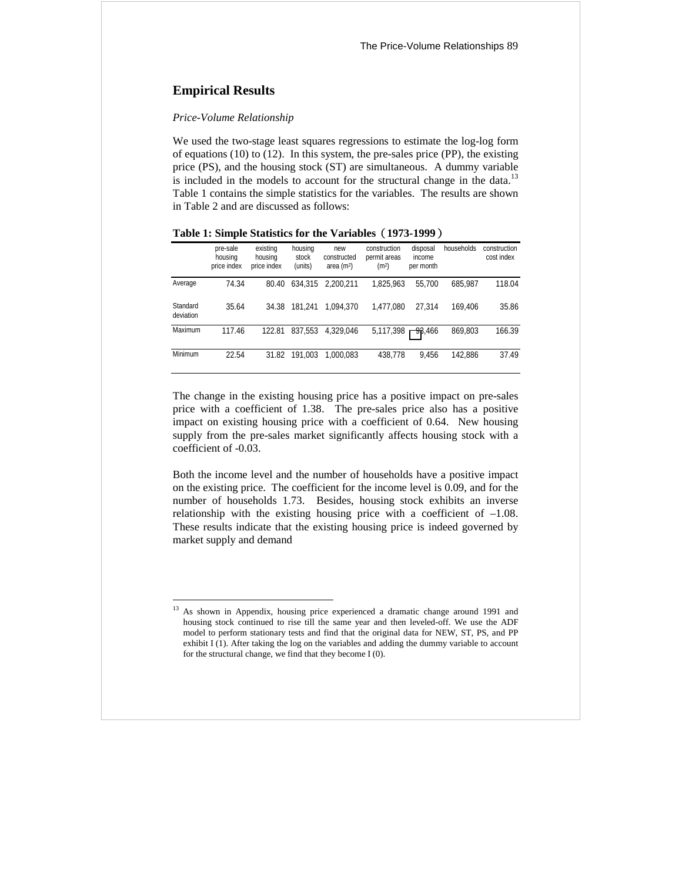# **Empirical Results**

 $\overline{a}$ 

#### *Price-Volume Relationship*

We used the two-stage least squares regressions to estimate the log-log form of equations (10) to (12). In this system, the pre-sales price (PP), the existing price (PS), and the housing stock (ST) are simultaneous. A dummy variable is included in the models to account for the structural change in the data.<sup>13</sup> Table 1 contains the simple statistics for the variables. The results are shown in Table 2 and are discussed as follows:

|                       | pre-sale<br>housing<br>price index | existing<br>housing<br>price index | housing<br>stock<br>(units) | new<br>constructed<br>area $(m2)$ | construction<br>permit areas<br>(m <sup>2</sup> ) | disposal<br>income<br>per month | households | construction<br>cost index |
|-----------------------|------------------------------------|------------------------------------|-----------------------------|-----------------------------------|---------------------------------------------------|---------------------------------|------------|----------------------------|
| Average               | 74.34                              | 80.40                              | 634,315                     | 2.200.211                         | 1.825.963                                         | 55.700                          | 685.987    | 118.04                     |
| Standard<br>deviation | 35.64                              | 34.38                              | 181.241                     | 1.094.370                         | 1.477.080                                         | 27.314                          | 169.406    | 35.86                      |
| Maximum               | 117.46                             | 122.81                             | 837.553                     | 4.329.046                         | 5.117.398                                         | 93.466                          | 869.803    | 166.39                     |
| Minimum               | 22.54                              | 31.82                              | 191.003                     | 1.000.083                         | 438.778                                           | 9.456                           | 142.886    | 37.49                      |

**Table 1: Simple Statistics for the Variables1973-1999**-

The change in the existing housing price has a positive impact on pre-sales price with a coefficient of 1.38. The pre-sales price also has a positive impact on existing housing price with a coefficient of 0.64. New housing supply from the pre-sales market significantly affects housing stock with a coefficient of -0.03.

Both the income level and the number of households have a positive impact on the existing price. The coefficient for the income level is 0.09, and for the number of households 1.73. Besides, housing stock exhibits an inverse relationship with the existing housing price with a coefficient of –1.08. These results indicate that the existing housing price is indeed governed by market supply and demand

<sup>&</sup>lt;sup>13</sup> As shown in Appendix, housing price experienced a dramatic change around 1991 and housing stock continued to rise till the same year and then leveled-off. We use the ADF model to perform stationary tests and find that the original data for NEW, ST, PS, and PP exhibit I (1). After taking the log on the variables and adding the dummy variable to account for the structural change, we find that they become I (0).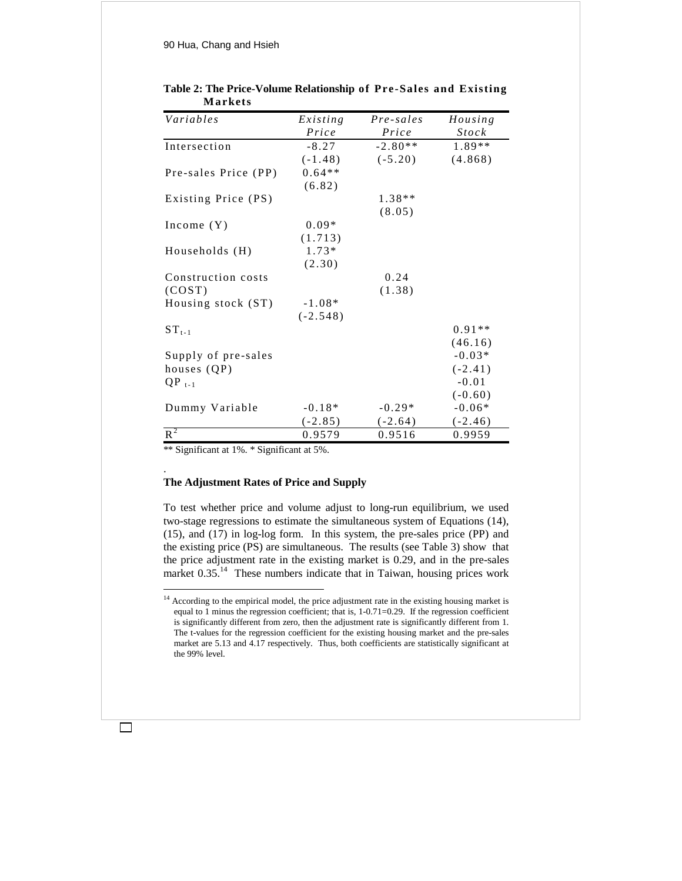90 Hua, Chang and Hsieh

| Variables            | Existing   | Pre-sales | Housing      |  |
|----------------------|------------|-----------|--------------|--|
|                      | Price      | Price     | <i>Stock</i> |  |
| Intersection         | $-8.27$    | $-2.80**$ | 1.89**       |  |
|                      | $(-1.48)$  | $(-5.20)$ | (4.868)      |  |
| Pre-sales Price (PP) | $0.64**$   |           |              |  |
|                      | (6.82)     |           |              |  |
| Existing Price (PS)  |            | $1.38**$  |              |  |
|                      |            | (8.05)    |              |  |
| Income $(Y)$         | $0.09*$    |           |              |  |
|                      | (1.713)    |           |              |  |
| Households (H)       | $1.73*$    |           |              |  |
|                      | (2.30)     |           |              |  |
| Construction costs   |            | 0.24      |              |  |
| (COST)               |            | (1.38)    |              |  |
| Housing stock (ST)   | $-1.08*$   |           |              |  |
|                      | $(-2.548)$ |           |              |  |
| $ST_{t-1}$           |            |           | $0.91**$     |  |
|                      |            |           | (46.16)      |  |
| Supply of pre-sales  |            |           | $-0.03*$     |  |
| houses (QP)          |            |           | $(-2.41)$    |  |
| $QP_{t-1}$           |            |           | $-0.01$      |  |
|                      |            |           | $(-0.60)$    |  |
| Dummy Variable       | $-0.18*$   | $-0.29*$  | $-0.06*$     |  |
|                      | $(-2.85)$  | $(-2.64)$ | $(-2.46)$    |  |
| $\overline{R^2}$     | 0.9579     | 0.9516    | 0.9959       |  |

## **Table 2: The Price-Volume Relationship of Pre-Sales and Existing Markets**

\*\* Significant at 1%. \* Significant at 5%.

.

 $\overline{a}$ 

# **The Adjustment Rates of Price and Supply**

To test whether price and volume adjust to long-run equilibrium, we used two-stage regressions to estimate the simultaneous system of Equations (14), (15), and (17) in log-log form. In this system, the pre-sales price (PP) and the existing price (PS) are simultaneous. The results (see Table 3) show that the price adjustment rate in the existing market is 0.29, and in the pre-sales market  $0.35$ .<sup>14</sup> These numbers indicate that in Taiwan, housing prices work

<sup>&</sup>lt;sup>14</sup> According to the empirical model, the price adjustment rate in the existing housing market is equal to 1 minus the regression coefficient; that is, 1-0.71=0.29. If the regression coefficient is significantly different from zero, then the adjustment rate is significantly different from 1. The t-values for the regression coefficient for the existing housing market and the pre-sales market are 5.13 and 4.17 respectively. Thus, both coefficients are statistically significant at the 99% level.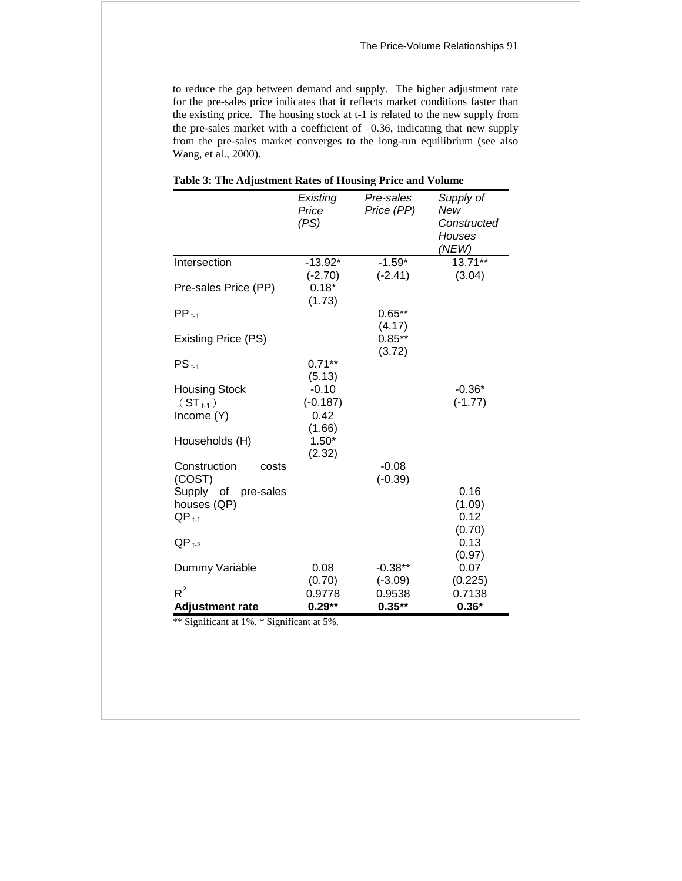to reduce the gap between demand and supply. The higher adjustment rate for the pre-sales price indicates that it reflects market conditions faster than the existing price. The housing stock at t-1 is related to the new supply from the pre-sales market with a coefficient of –0.36, indicating that new supply from the pre-sales market converges to the long-run equilibrium (see also Wang, et al., 2000).

|                                                                      | Existing<br>Price<br>(PS)                                              | Pre-sales<br>Price (PP)      | Supply of<br>New<br>Constructed<br>Houses |
|----------------------------------------------------------------------|------------------------------------------------------------------------|------------------------------|-------------------------------------------|
|                                                                      |                                                                        |                              | (NEW)                                     |
| Intersection                                                         | $-13.92*$<br>$(-2.70)$                                                 | $-1.59*$<br>$(-2.41)$        | $13.71***$<br>(3.04)                      |
| Pre-sales Price (PP)                                                 | $0.18*$<br>(1.73)                                                      |                              |                                           |
| $PP_{t-1}$                                                           |                                                                        | $0.65***$                    |                                           |
| <b>Existing Price (PS)</b>                                           |                                                                        | (4.17)<br>$0.85**$<br>(3.72) |                                           |
| $PS_{t-1}$                                                           | $0.71***$                                                              |                              |                                           |
| <b>Housing Stock</b><br>$(ST_{t-1})$<br>Income (Y)<br>Households (H) | (5.13)<br>$-0.10$<br>$(-0.187)$<br>0.42<br>(1.66)<br>$1.50*$<br>(2.32) |                              | $-0.36*$<br>$(-1.77)$                     |
| Construction<br>costs<br>(COST)                                      |                                                                        | $-0.08$<br>$(-0.39)$         |                                           |
| Supply of pre-sales<br>houses (QP)<br>$QP_{t-1}$                     |                                                                        |                              | 0.16<br>(1.09)<br>0.12<br>(0.70)          |
| $QP_{t-2}$                                                           |                                                                        |                              | 0.13                                      |
| Dummy Variable                                                       | 0.08<br>(0.70)                                                         | $-0.38**$<br>$(-3.09)$       | (0.97)<br>0.07<br>(0.225)                 |
| $R^2$                                                                | 0.9778                                                                 | 0.9538                       | 0.7138                                    |
| <b>Adjustment rate</b>                                               | $0.29**$                                                               | $0.35**$                     | $0.36*$                                   |

## **Table 3: The Adjustment Rates of Housing Price and Volume**

\*\* Significant at 1%. \* Significant at 5%.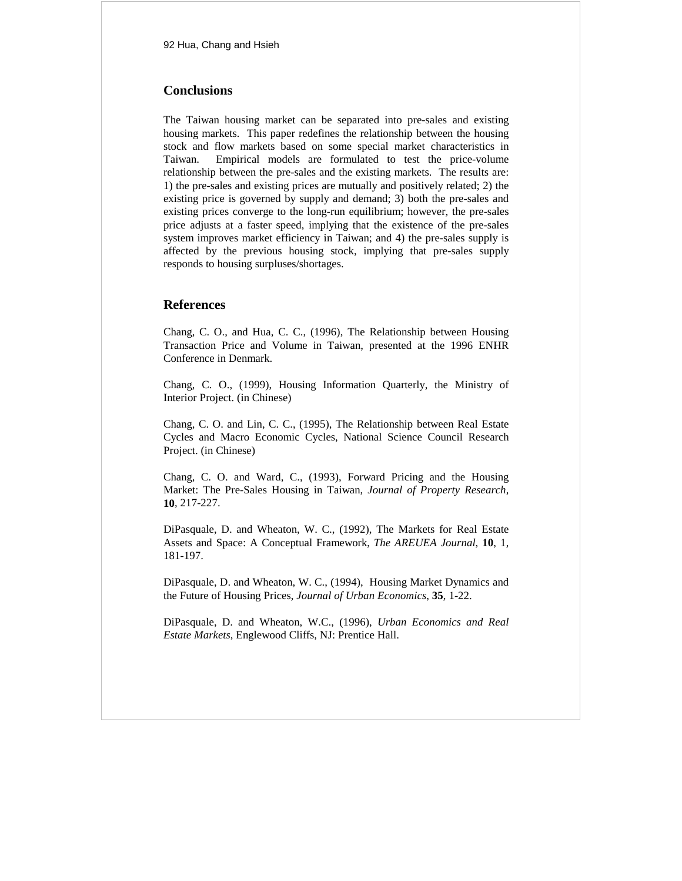# **Conclusions**

The Taiwan housing market can be separated into pre-sales and existing housing markets. This paper redefines the relationship between the housing stock and flow markets based on some special market characteristics in Taiwan. Empirical models are formulated to test the price-volume relationship between the pre-sales and the existing markets. The results are: 1) the pre-sales and existing prices are mutually and positively related; 2) the existing price is governed by supply and demand; 3) both the pre-sales and existing prices converge to the long-run equilibrium; however, the pre-sales price adjusts at a faster speed, implying that the existence of the pre-sales system improves market efficiency in Taiwan; and 4) the pre-sales supply is affected by the previous housing stock, implying that pre-sales supply responds to housing surpluses/shortages.

# **References**

Chang, C. O., and Hua, C. C., (1996), The Relationship between Housing Transaction Price and Volume in Taiwan, presented at the 1996 ENHR Conference in Denmark.

Chang, C. O., (1999), Housing Information Quarterly, the Ministry of Interior Project. (in Chinese)

Chang, C. O. and Lin, C. C., (1995), The Relationship between Real Estate Cycles and Macro Economic Cycles, National Science Council Research Project. (in Chinese)

Chang, C. O. and Ward, C., (1993), Forward Pricing and the Housing Market: The Pre-Sales Housing in Taiwan, *Journal of Property Research*, **10**, 217-227.

DiPasquale, D. and Wheaton, W. C., (1992), The Markets for Real Estate Assets and Space: A Conceptual Framework, *The AREUEA Journal*, **10**, 1, 181-197.

DiPasquale, D. and Wheaton, W. C., (1994), Housing Market Dynamics and the Future of Housing Prices, *Journal of Urban Economics*, **35**, 1-22.

DiPasquale, D. and Wheaton, W.C., (1996), *Urban Economics and Real Estate Markets*, Englewood Cliffs, NJ: Prentice Hall.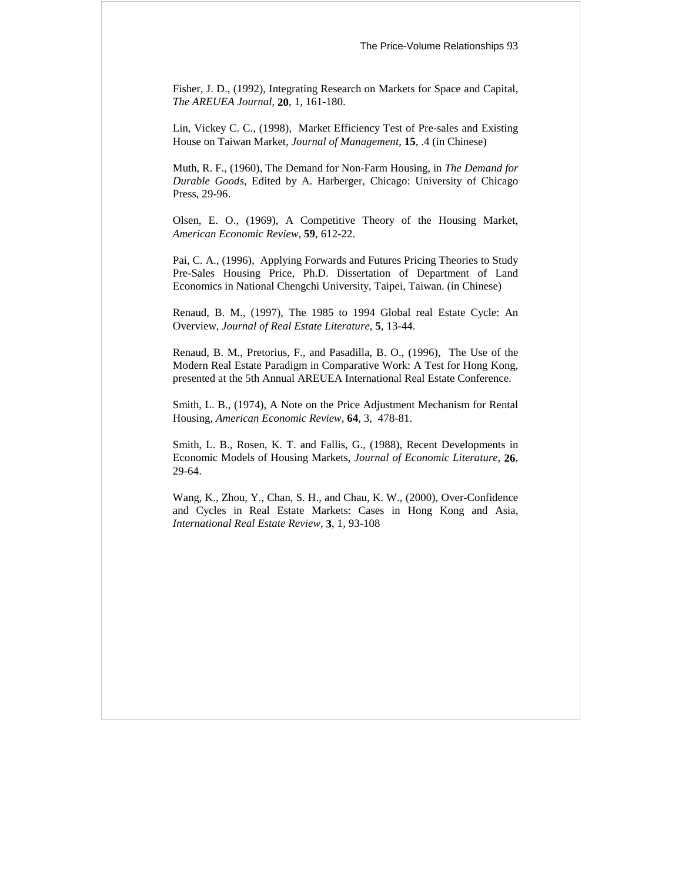Fisher, J. D., (1992), Integrating Research on Markets for Space and Capital, *The AREUEA Journal*, **20**, 1, 161-180.

Lin, Vickey C. C., (1998), Market Efficiency Test of Pre-sales and Existing House on Taiwan Market, *Journal of Management*, **15**, .4 (in Chinese)

Muth, R. F., (1960), The Demand for Non-Farm Housing, in *The Demand for Durable Goods*, Edited by A. Harberger, Chicago: University of Chicago Press, 29-96.

Olsen, E. O., (1969), A Competitive Theory of the Housing Market, *American Economic Review*, **59**, 612-22.

Pai, C. A., (1996), Applying Forwards and Futures Pricing Theories to Study Pre-Sales Housing Price, Ph.D. Dissertation of Department of Land Economics in National Chengchi University, Taipei, Taiwan. (in Chinese)

Renaud, B. M., (1997), The 1985 to 1994 Global real Estate Cycle: An Overview, *Journal of Real Estate Literature*, **5**, 13-44.

Renaud, B. M., Pretorius, F., and Pasadilla, B. O., (1996), The Use of the Modern Real Estate Paradigm in Comparative Work: A Test for Hong Kong, presented at the 5th Annual AREUEA International Real Estate Conference.

Smith, L. B., (1974), A Note on the Price Adjustment Mechanism for Rental Housing, *American Economic Review*, **64**, 3, 478-81.

Smith, L. B., Rosen, K. T. and Fallis, G., (1988), Recent Developments in Economic Models of Housing Markets, *Journal of Economic Literature*, **26**, 29-64.

Wang, K., Zhou, Y., Chan, S. H., and Chau, K. W., (2000), Over-Confidence and Cycles in Real Estate Markets: Cases in Hong Kong and Asia, *International Real Estate Review*, **3**, 1, 93-108